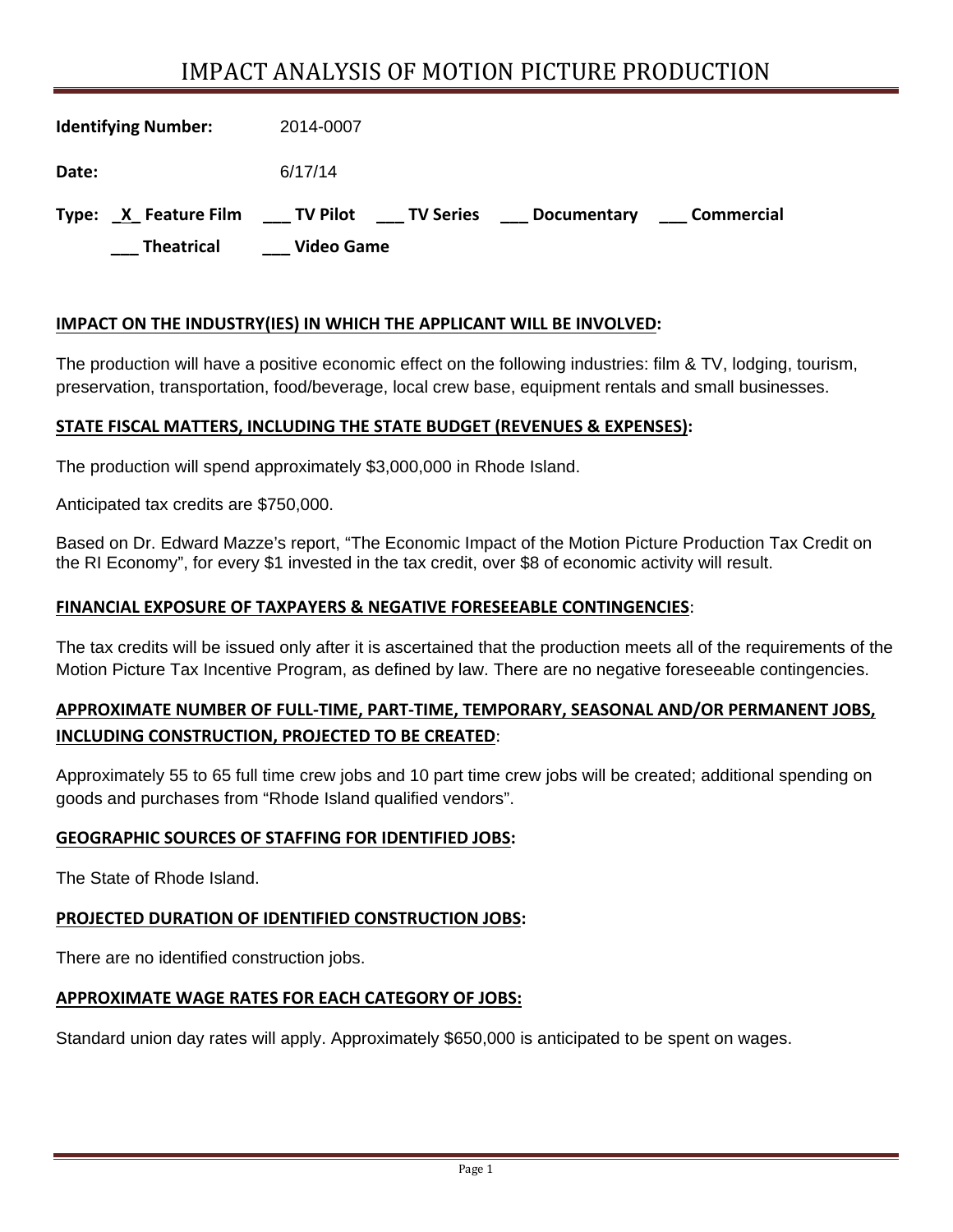# IMPACT ANALYSIS OF MOTION PICTURE PRODUCTION

| <b>Identifying Number:</b>       | 2014-0007                                            |
|----------------------------------|------------------------------------------------------|
| Date:                            | 6/17/14                                              |
| X Feature Film TV Pilot<br>Type: | <b>TV Series</b><br>Commercial<br><b>Documentary</b> |
| <b>Theatrical</b>                | <b>Video Game</b>                                    |

#### **IMPACT ON THE INDUSTRY(IES) IN WHICH THE APPLICANT WILL BE INVOLVED:**

The production will have a positive economic effect on the following industries: film & TV, lodging, tourism, preservation, transportation, food/beverage, local crew base, equipment rentals and small businesses.

#### **STATE FISCAL MATTERS, INCLUDING THE STATE BUDGET (REVENUES & EXPENSES):**

The production will spend approximately \$3,000,000 in Rhode Island.

Anticipated tax credits are \$750,000.

Based on Dr. Edward Mazze's report, "The Economic Impact of the Motion Picture Production Tax Credit on the RI Economy", for every \$1 invested in the tax credit, over \$8 of economic activity will result.

#### **FINANCIAL EXPOSURE OF TAXPAYERS & NEGATIVE FORESEEABLE CONTINGENCIES**:

The tax credits will be issued only after it is ascertained that the production meets all of the requirements of the Motion Picture Tax Incentive Program, as defined by law. There are no negative foreseeable contingencies.

### **APPROXIMATE NUMBER OF FULL‐TIME, PART‐TIME, TEMPORARY, SEASONAL AND/OR PERMANENT JOBS, INCLUDING CONSTRUCTION, PROJECTED TO BE CREATED**:

Approximately 55 to 65 full time crew jobs and 10 part time crew jobs will be created; additional spending on goods and purchases from "Rhode Island qualified vendors".

#### **GEOGRAPHIC SOURCES OF STAFFING FOR IDENTIFIED JOBS:**

The State of Rhode Island.

#### **PROJECTED DURATION OF IDENTIFIED CONSTRUCTION JOBS:**

There are no identified construction jobs.

#### **APPROXIMATE WAGE RATES FOR EACH CATEGORY OF JOBS:**

Standard union day rates will apply. Approximately \$650,000 is anticipated to be spent on wages.